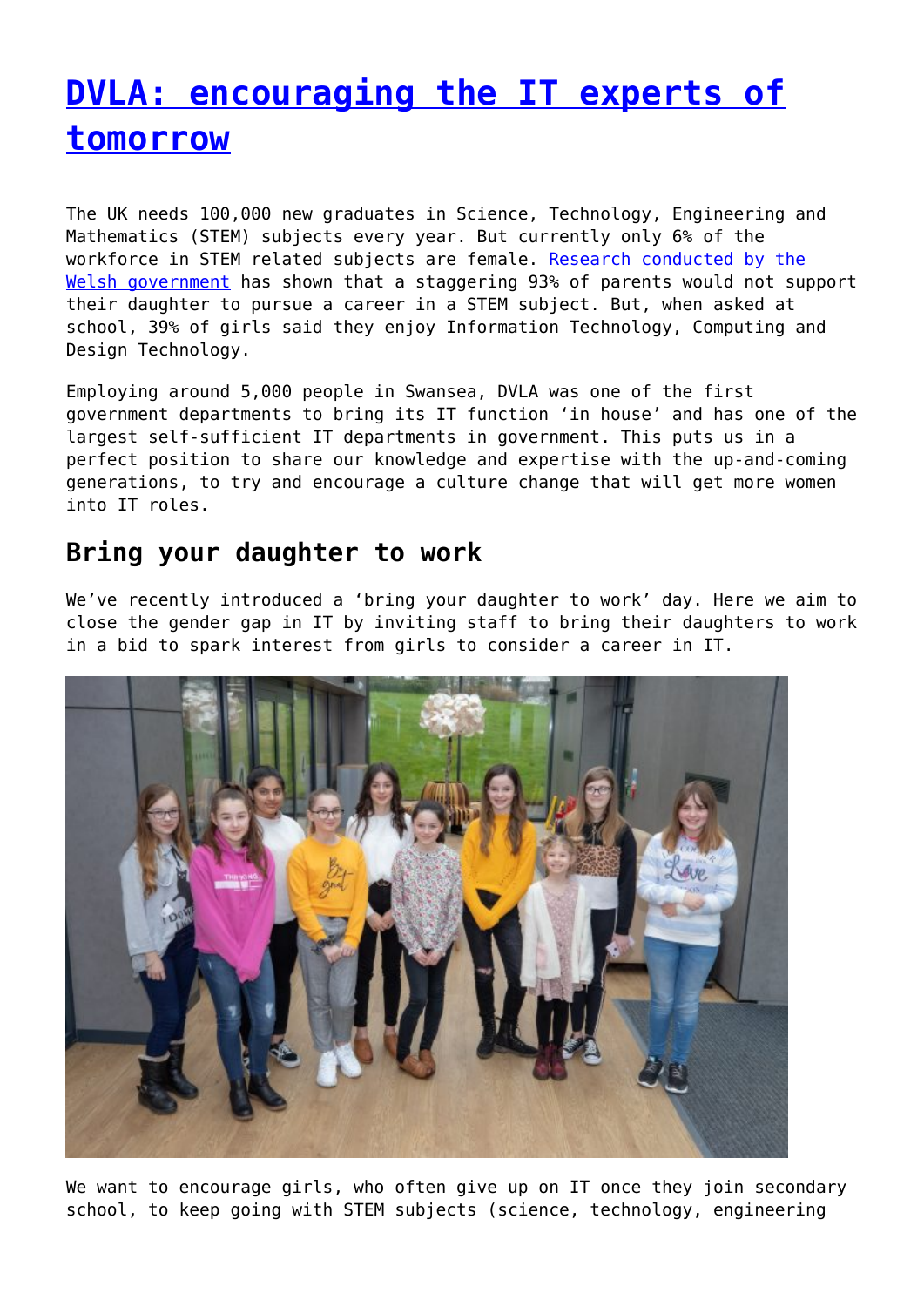# **[DVLA: encouraging the IT experts of](http://www.government-world.com/dvla-encouraging-the-it-experts-of-tomorrow/) [tomorrow](http://www.government-world.com/dvla-encouraging-the-it-experts-of-tomorrow/)**

The UK needs 100,000 new graduates in Science, Technology, Engineering and Mathematics (STEM) subjects every year. But currently only 6% of the workforce in STEM related subjects are female. [Research conducted by the](http://www.girlsintostem.co.uk/girlsintostem-1) [Welsh government](http://www.girlsintostem.co.uk/girlsintostem-1) has shown that a staggering 93% of parents would not support their daughter to pursue a career in a STEM subject. But, when asked at school, 39% of girls said they enjoy Information Technology, Computing and Design Technology.

Employing around 5,000 people in Swansea, DVLA was one of the first government departments to bring its IT function 'in house' and has one of the largest self-sufficient IT departments in government. This puts us in a perfect position to share our knowledge and expertise with the up-and-coming generations, to try and encourage a culture change that will get more women into IT roles.

### **Bring your daughter to work**

We've recently introduced a 'bring your daughter to work' day. Here we aim to close the gender gap in IT by inviting staff to bring their daughters to work in a bid to spark interest from girls to consider a career in IT.



We want to encourage girls, who often give up on IT once they join secondary school, to keep going with STEM subjects (science, technology, engineering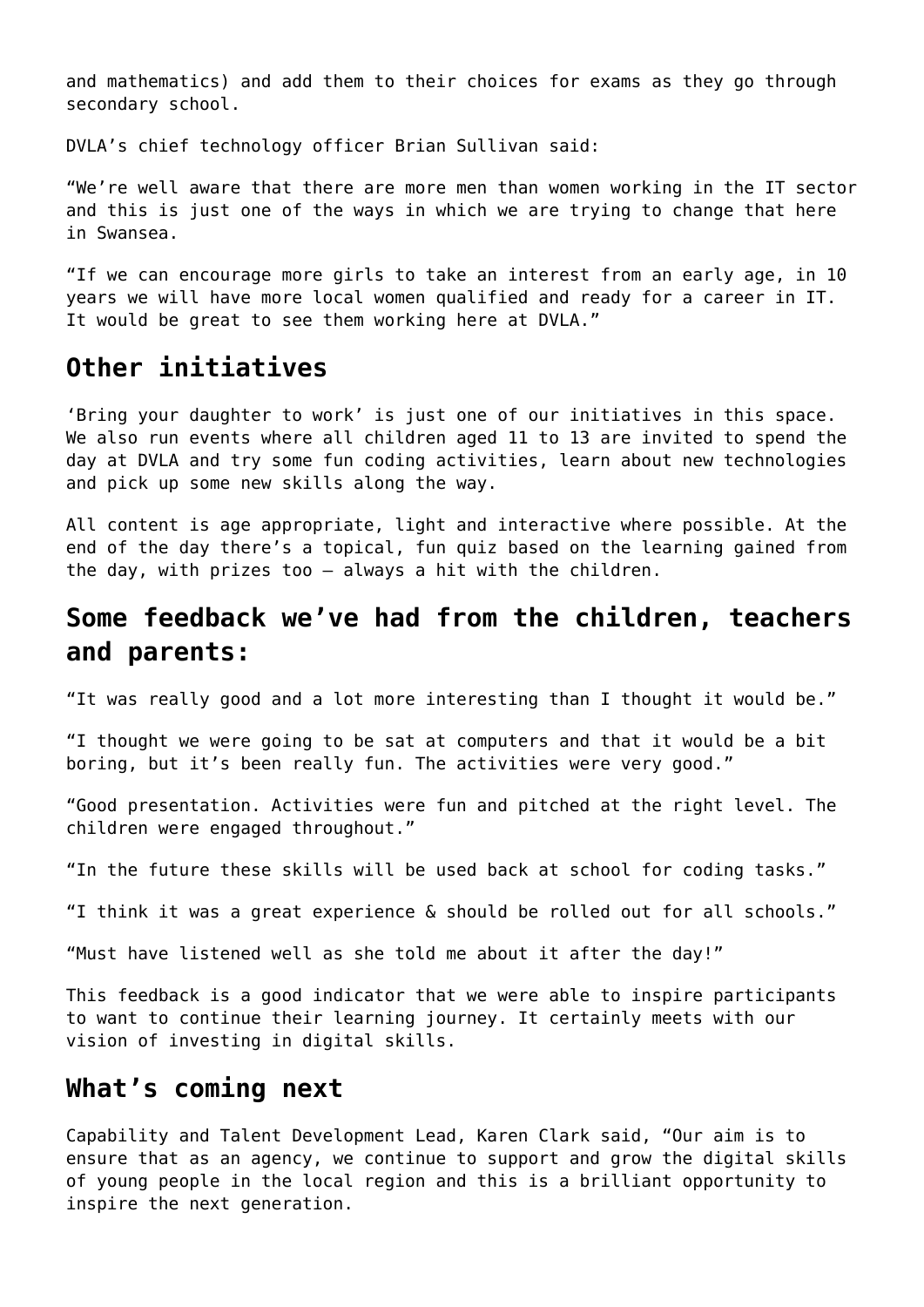and mathematics) and add them to their choices for exams as they go through secondary school.

DVLA's chief technology officer Brian Sullivan said:

"We're well aware that there are more men than women working in the IT sector and this is just one of the ways in which we are trying to change that here in Swansea.

"If we can encourage more girls to take an interest from an early age, in 10 years we will have more local women qualified and ready for a career in IT. It would be great to see them working here at DVLA."

### **Other initiatives**

'Bring your daughter to work' is just one of our initiatives in this space. We also run events where all children aged 11 to 13 are invited to spend the day at DVLA and try some fun coding activities, learn about new technologies and pick up some new skills along the way.

All content is age appropriate, light and interactive where possible. At the end of the day there's a topical, fun quiz based on the learning gained from the day, with prizes too – always a hit with the children.

## **Some feedback we've had from the children, teachers and parents:**

"It was really good and a lot more interesting than I thought it would be."

"I thought we were going to be sat at computers and that it would be a bit boring, but it's been really fun. The activities were very good."

"Good presentation. Activities were fun and pitched at the right level. The children were engaged throughout."

"In the future these skills will be used back at school for coding tasks."

"I think it was a great experience & should be rolled out for all schools."

"Must have listened well as she told me about it after the day!"

This feedback is a good indicator that we were able to inspire participants to want to continue their learning journey. It certainly meets with our vision of investing in digital skills.

#### **What's coming next**

Capability and Talent Development Lead, Karen Clark said, "Our aim is to ensure that as an agency, we continue to support and grow the digital skills of young people in the local region and this is a brilliant opportunity to inspire the next generation.